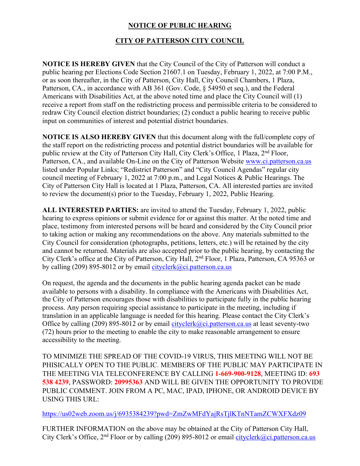## **NOTICE OF PUBLIC HEARING**

## **CITY OF PATTERSON CITY COUNCIL**

**NOTICE IS HEREBY GIVEN** that the City Council of the City of Patterson will conduct a public hearing per Elections Code Section 21607.1 on Tuesday, February 1, 2022, at 7:00 P.M., or as soon thereafter, in the City of Patterson, City Hall, City Council Chambers, 1 Plaza, Patterson, CA., in accordance with AB 361 (Gov. Code, § 54950 et seq.), and the Federal Americans with Disabilities Act, at the above noted time and place the City Council will (1) receive a report from staff on the redistricting process and permissible criteria to be considered to redraw City Council election district boundaries; (2) conduct a public hearing to receive public input on communities of interest and potential district boundaries.

**NOTICE IS ALSO HEREBY GIVEN** that this document along with the full/complete copy of the staff report on the redistricting process and potential district boundaries will be available for public review at the City of Patterson City Hall, City Clerk's Office, 1 Plaza, 2<sup>nd</sup> Floor, Patterson, CA., and available On-Line on the City of Patterson Website www.ci.patterson.ca.us listed under Popular Links; "Redistrict Patterson" and "City Council Agendas" regular city council meeting of February 1, 2022 at 7:00 p.m., and Legal Notices & Public Hearings. The City of Patterson City Hall is located at 1 Plaza, Patterson, CA. All interested parties are invited to review the document(s) prior to the Tuesday, February 1, 2022, Public Hearing.

**ALL INTERESTED PARTIES:** are invited to attend the Tuesday, February 1, 2022, public hearing to express opinions or submit evidence for or against this matter. At the noted time and place, testimony from interested persons will be heard and considered by the City Council prior to taking action or making any recommendations on the above. Any materials submitted to the City Council for consideration (photographs, petitions, letters, etc.) will be retained by the city and cannot be returned. Materials are also accepted prior to the public hearing, by contacting the City Clerk's office at the City of Patterson, City Hall, 2nd Floor, 1 Plaza, Patterson, CA 95363 or by calling (209) 895-8012 or by email cityclerk@ci.patterson.ca.us

On request, the agenda and the documents in the public hearing agenda packet can be made available to persons with a disability. In compliance with the Americans with Disabilities Act, the City of Patterson encourages those with disabilities to participate fully in the public hearing process. Any person requiring special assistance to participate in the meeting, including if translation in an applicable language is needed for this hearing. Please contact the City Clerk's Office by calling (209) 895-8012 or by email cityclerk@ci.patterson.ca.us at least seventy-two (72) hours prior to the meeting to enable the city to make reasonable arrangement to ensure accessibility to the meeting.

TO MINIMIZE THE SPREAD OF THE COVID-19 VIRUS, THIS MEETING WILL NOT BE PHISICALLY OPEN TO THE PUBLIC. MEMBERS OF THE PUBLIC MAY PARTICIPATE IN THE MEETING VIA TELECONFERENCE BY CALLING **1-669-900-9128**, MEETING ID: **693 538 4239**, PASSWORD: **20995363** AND WILL BE GIVEN THE OPPORTUNITY TO PROVIDE PUBLIC COMMENT. JOIN FROM A PC, MAC, IPAD, IPHONE, OR ANDROID DEVICE BY USING THIS URL:

https://us02web.zoom.us/j/6935384239?pwd=ZmZwMFdYajRsTjlKTnNTamZCWXFXdz09

FURTHER INFORMATION on the above may be obtained at the City of Patterson City Hall, City Clerk's Office, 2<sup>nd</sup> Floor or by calling (209) 895-8012 or email cityclerk@ci.patterson.ca.us